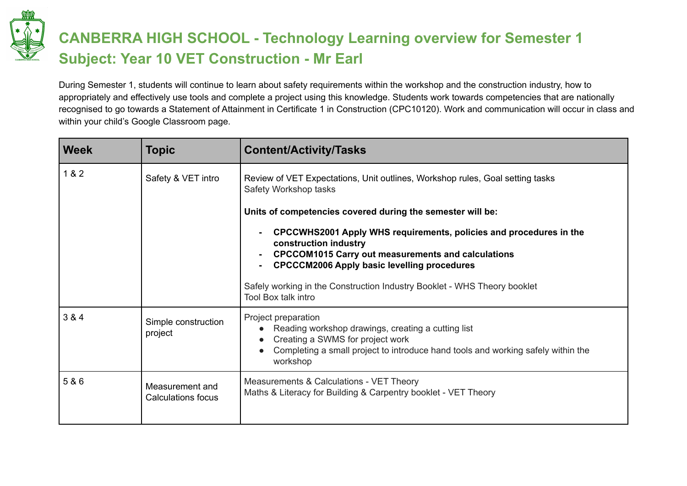

## **CANBERRA HIGH SCHOOL - Technology Learning overview for Semester 1 Subject: Year 10 VET Construction - Mr Earl**

During Semester 1, students will continue to learn about safety requirements within the workshop and the construction industry, how to appropriately and effectively use tools and complete a project using this knowledge. Students work towards competencies that are nationally recognised to go towards a Statement of Attainment in Certificate 1 in Construction (CPC10120). Work and communication will occur in class and within your child's Google Classroom page.

| <b>Week</b> | <b>Topic</b>                                 | <b>Content/Activity/Tasks</b>                                                                                                                                                                                  |
|-------------|----------------------------------------------|----------------------------------------------------------------------------------------------------------------------------------------------------------------------------------------------------------------|
| 1 & 2       | Safety & VET intro                           | Review of VET Expectations, Unit outlines, Workshop rules, Goal setting tasks<br>Safety Workshop tasks                                                                                                         |
|             |                                              | Units of competencies covered during the semester will be:                                                                                                                                                     |
|             |                                              | CPCCWHS2001 Apply WHS requirements, policies and procedures in the<br>construction industry<br><b>CPCCOM1015 Carry out measurements and calculations</b><br><b>CPCCCM2006 Apply basic levelling procedures</b> |
|             |                                              | Safely working in the Construction Industry Booklet - WHS Theory booklet<br><b>Tool Box talk intro</b>                                                                                                         |
| 3 & 4       | Simple construction<br>project               | Project preparation<br>Reading workshop drawings, creating a cutting list<br>Creating a SWMS for project work<br>Completing a small project to introduce hand tools and working safely within the<br>workshop  |
| 5 & 6       | Measurement and<br><b>Calculations focus</b> | Measurements & Calculations - VET Theory<br>Maths & Literacy for Building & Carpentry booklet - VET Theory                                                                                                     |